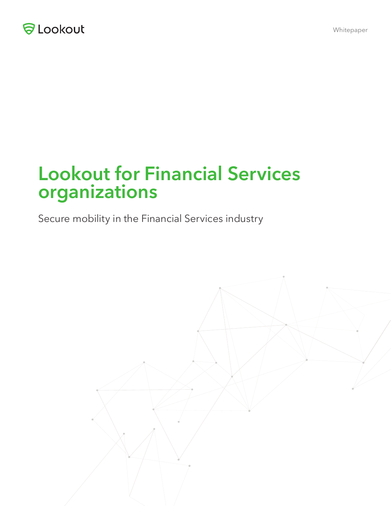

# **Lookout for Financial Services organizations**

Secure mobility in the Financial Services industry

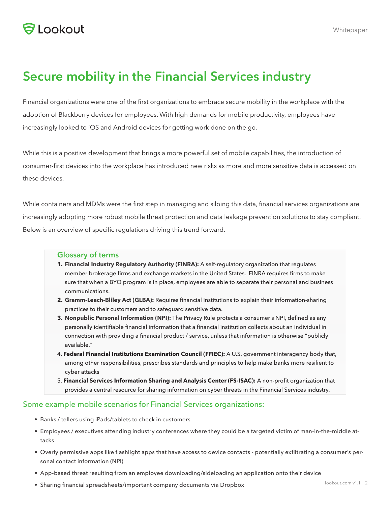# **Secure mobility in the Financial Services industry**

Financial organizations were one of the first organizations to embrace secure mobility in the workplace with the adoption of Blackberry devices for employees. With high demands for mobile productivity, employees have increasingly looked to iOS and Android devices for getting work done on the go.

While this is a positive development that brings a more powerful set of mobile capabilities, the introduction of consumer-first devices into the workplace has introduced new risks as more and more sensitive data is accessed on these devices.

While containers and MDMs were the first step in managing and siloing this data, financial services organizations are increasingly adopting more robust mobile threat protection and data leakage prevention solutions to stay compliant. Below is an overview of specific regulations driving this trend forward.

#### **Glossary of terms**

- **1. Financial Industry Regulatory Authority (FINRA):** A self-regulatory organization that regulates member brokerage firms and exchange markets in the United States. FINRA requires firms to make sure that when a BYO program is in place, employees are able to separate their personal and business communications.
- **2. Gramm-Leach-Bliley Act (GLBA):** Requires financial institutions to explain their information-sharing practices to their customers and to safeguard sensitive data.
- **3. Nonpublic Personal Information (NPI):** The Privacy Rule protects a consumer's NPI, defined as any personally identifiable financial information that a financial institution collects about an individual in connection with providing a financial product / service, unless that information is otherwise "publicly available."
- 4. **Federal Financial Institutions Examination Council (FFIEC):** A U.S. government interagency body that, among other responsibilities, prescribes standards and principles to help make banks more resilient to cyber attacks
- 5. **Financial Services Information Sharing and Analysis Center (FS-ISAC):** A non-profit organization that provides a central resource for sharing information on cyber threats in the Financial Services industry.

#### Some example mobile scenarios for Financial Services organizations:

- Banks / tellers using iPads/tablets to check in customers
- Employees / executives attending industry conferences where they could be a targeted victim of man-in-the-middle attacks
- Overly permissive apps like flashlight apps that have access to device contacts potentially exfiltrating a consumer's personal contact information (NPI)
- App-based threat resulting from an employee downloading/sideloading an application onto their device
- Sharing financial spreadsheets/important company documents via Dropbox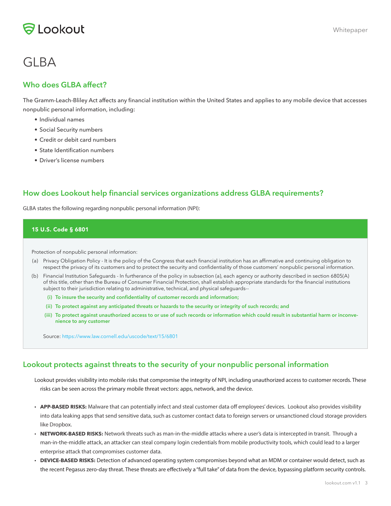# **A** Lookout

# GLBA

### **Who does GLBA affect?**

The Gramm-Leach-Bliley Act affects any financial institution within the United States and applies to any mobile device that accesses nonpublic personal information, including:

- Individual names
- Social Security numbers
- Credit or debit card numbers
- State Identification numbers
- Driver's license numbers

#### **How does Lookout help financial services organizations address GLBA requirements?**

GLBA states the following regarding nonpublic personal information (NPI):

# 15 U.S. Code § 6801 Protection of nonpublic personal information:

- (a) Privacy Obligation Policy It is the policy of the Congress that each financial institution has an affirmative and continuing obligation to respect the privacy of its customers and to protect the security and confidentiality of those customers' nonpublic personal information.
- (b) Financial Institution Safeguards In furtherance of the policy in subsection (a), each agency or authority described in section 6805(A) of this title, other than the Bureau of Consumer Financial Protection, shall establish appropriate standards for the financial institutions subject to their jurisdiction relating to administrative, technical, and physical safeguards--
	- **(i) To insure the security and confidentiality of customer records and information;**
	- **(ii) To protect against any anticipated threats or hazards to the security or integrity of such records; and**
	- **(iii) To protect against unauthorized access to or use of such records or information which could result in substantial harm or inconvenience to any customer**

Source: https://www.law.cornell.edu/uscode/text/15/6801

#### **Lookout protects against threats to the security of your nonpublic personal information**

Lookout provides visibility into mobile risks that compromise the integrity of NPI, including unauthorized access to customer records. These risks can be seen across the primary mobile threat vectors: apps, network, and the device.

- **APP-BASED RISKS:** Malware that can potentially infect and steal customer data off employees' devices. Lookout also provides visibility into data leaking apps that send sensitive data, such as customer contact data to foreign servers or unsanctioned cloud storage providers like Dropbox.
- **NETWORK-BASED RISKS:** Network threats such as man-in-the-middle attacks where a user's data is intercepted in transit. Through a man-in-the-middle attack, an attacker can steal company login credentials from mobile productivity tools, which could lead to a larger enterprise attack that compromises customer data.
- **DEVICE-BASED RISKS:** Detection of advanced operating system compromises beyond what an MDM or container would detect, such as the recent Pegasus zero-day threat. These threats are effectively a "full take" of data from the device, bypassing platform security controls.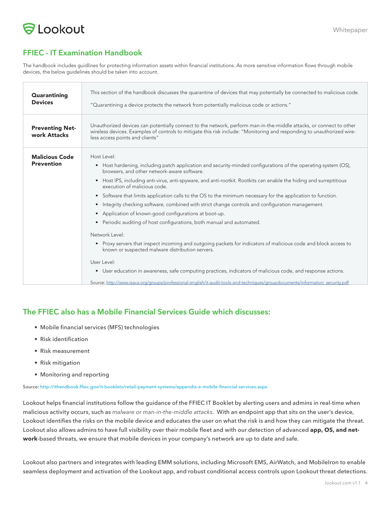

## **FFIEC - IT Examination Handbook**

The handbook includes guidlines for protecting information assets within financial institutions. As more sensitive information flows through mobile devices, the below guidelines should be taken into account.

| Quarantining<br><b>Devices</b>             | This section of the handbook discusses the quarantine of devices that may potentially be connected to malicious code.<br>"Quarantining a device protects the network from potentially malicious code or actions."                                                                                                                                                                                                                                                                                                                                                                                                                                                                                                                                                                                                                                                                                                                                                                                                                                                                                                                                                                    |
|--------------------------------------------|--------------------------------------------------------------------------------------------------------------------------------------------------------------------------------------------------------------------------------------------------------------------------------------------------------------------------------------------------------------------------------------------------------------------------------------------------------------------------------------------------------------------------------------------------------------------------------------------------------------------------------------------------------------------------------------------------------------------------------------------------------------------------------------------------------------------------------------------------------------------------------------------------------------------------------------------------------------------------------------------------------------------------------------------------------------------------------------------------------------------------------------------------------------------------------------|
| <b>Preventing Net-</b><br>work Attacks     | Unauthorized devices can potentially connect to the network, perform man-in-the-middle attacks, or connect to other<br>wireless devices. Examples of controls to mitigate this risk include: "Monitoring and responding to unauthorized wire-<br>less access points and clients"                                                                                                                                                                                                                                                                                                                                                                                                                                                                                                                                                                                                                                                                                                                                                                                                                                                                                                     |
| <b>Malicious Code</b><br><b>Prevention</b> | Host Level:<br>Host hardening, including patch application and security-minded configurations of the operating system (OS),<br>$\bullet$<br>browsers, and other network-aware software.<br>• Host IPS, including anti-virus, anti-spyware, and anti-rootkit. Rootkits can enable the hiding and surreptitious<br>execution of malicious code.<br>• Software that limits application calls to the OS to the minimum necessary for the application to function.<br>Integrity checking software, combined with strict change controls and configuration management.<br>$\bullet$<br>• Application of known-good configurations at boot-up.<br>• Periodic auditing of host configurations, both manual and automated.<br>Network Level:<br>Proxy servers that inspect incoming and outgoing packets for indicators of malicious code and block access to<br>known or suspected malware distribution servers.<br>User Level:<br>User education in awareness, safe computing practices, indicators of malicious code, and response actions.<br>$\bullet$<br>Source: http://www.isaca.org/groups/professional-english/it-audit-tools-and-techniques/groupdocuments/information_security.pdf |

### **The FFIEC also has a Mobile Financial Services Guide which discusses:**

- Mobile financial services (MFS) technologies
- Risk identification
- Risk measurement
- Risk mitigation
- Monitoring and reporting

Source: http://ithandbook.ffiec.gov/it-booklets/retail-payment-systems/appendix-e-mobile-financial-services.aspx

Lookout helps financial institutions follow the guidance of the FFIEC IT Booklet by alerting users and admins in real-time when malicious activity occurs, such as *malware or man-in-the-middle attacks*. With an endpoint app that sits on the user's device, Lookout identifies the risks on the mobile device and educates the user on what the risk is and how they can mitigate the threat. Lookout also allows admins to have full visibility over their mobile fleet and with our detection of advanced **app, OS, and network**-based threats, we ensure that mobile devices in your company's network are up to date and safe.

Lookout also partners and integrates with leading EMM solutions, including Microsoft EMS, AirWatch, and MobileIron to enable seamless deployment and activation of the Lookout app, and robust conditional access controls upon Lookout threat detections.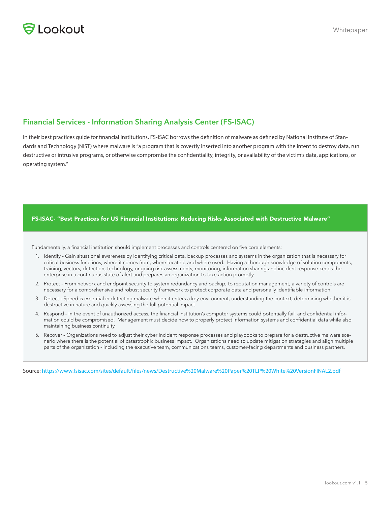

#### **Financial Services - Information Sharing Analysis Center (FS-ISAC)**

In their best practices guide for financial institutions, FS-ISAC borrows the definition of malware as defined by National Institute of Standards and Technology (NIST) where malware is "a program that is covertly inserted into another program with the intent to destroy data, run destructive or intrusive programs, or otherwise compromise the confidentiality, integrity, or availability of the victim's data, applications, or operating system."

#### FS-ISAC- "Best Practices for US Financial Institutions: Reducing Risks Associated with Destructive Malware"

Fundamentally, a financial institution should implement processes and controls centered on five core elements:

- 1. Identify Gain situational awareness by identifying critical data, backup processes and systems in the organization that is necessary for critical business functions, where it comes from, where located, and where used. Having a thorough knowledge of solution components, training, vectors, detection, technology, ongoing risk assessments, monitoring, information sharing and incident response keeps the enterprise in a continuous state of alert and prepares an organization to take action promptly.
- 2. Protect From network and endpoint security to system redundancy and backup, to reputation management, a variety of controls are necessary for a comprehensive and robust security framework to protect corporate data and personally identifiable information.
- 3. Detect Speed is essential in detecting malware when it enters a key environment, understanding the context, determining whether it is destructive in nature and quickly assessing the full potential impact.
- 4. Respond In the event of unauthorized access, the financial institution's computer systems could potentially fail, and confidential information could be compromised. Management must decide how to properly protect information systems and confidential data while also maintaining business continuity.
- 5. Recover Organizations need to adjust their cyber incident response processes and playbooks to prepare for a destructive malware scenario where there is the potential of catastrophic business impact. Organizations need to update mitigation strategies and align multiple parts of the organization - including the executive team, communications teams, customer-facing departments and business partners.

Source: https://www.fsisac.com/sites/default/files/news/Destructive%20Malware%20Paper%20TLP%20White%20VersionFINAL2.pdf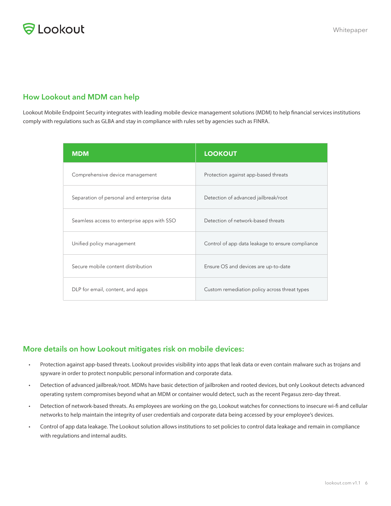## **How Lookout and MDM can help**

Lookout Mobile Endpoint Security integrates with leading mobile device management solutions (MDM) to help financial services institutions comply with regulations such as GLBA and stay in compliance with rules set by agencies such as FINRA.

| <b>MDM</b>                                  | <b>LOOKOUT</b>                                   |
|---------------------------------------------|--------------------------------------------------|
| Comprehensive device management             | Protection against app-based threats             |
| Separation of personal and enterprise data  | Detection of advanced jailbreak/root             |
| Seamless access to enterprise apps with SSO | Detection of network-based threats               |
| Unified policy management                   | Control of app data leakage to ensure compliance |
| Secure mobile content distribution          | Ensure OS and devices are up-to-date             |
| DLP for email, content, and apps            | Custom remediation policy across threat types    |

### **More details on how Lookout mitigates risk on mobile devices:**

- Protection against app-based threats. Lookout provides visibility into apps that leak data or even contain malware such as trojans and spyware in order to protect nonpublic personal information and corporate data.
- Detection of advanced jailbreak/root. MDMs have basic detection of jailbroken and rooted devices, but only Lookout detects advanced operating system compromises beyond what an MDM or container would detect, such as the recent Pegasus zero-day threat.
- Detection of network-based threats. As employees are working on the go, Lookout watches for connections to insecure wi-fi and cellular networks to help maintain the integrity of user credentials and corporate data being accessed by your employee's devices.
- Control of app data leakage. The Lookout solution allows institutions to set policies to control data leakage and remain in compliance with regulations and internal audits.